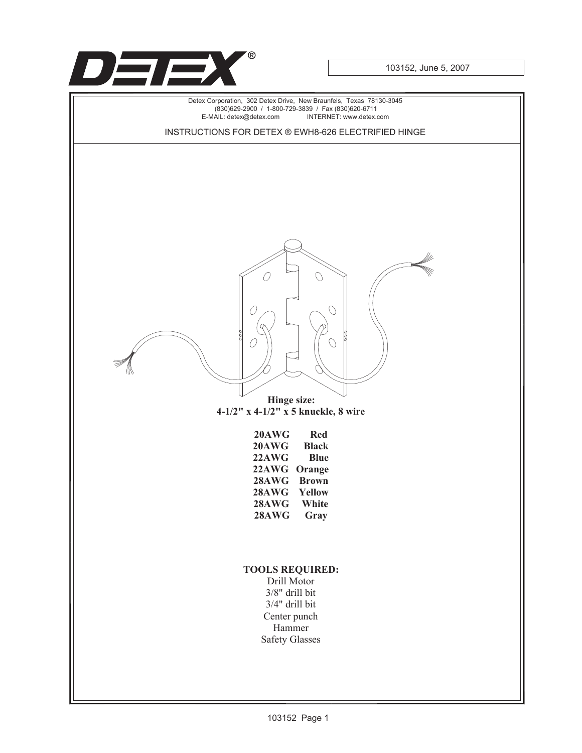

103152, June 5, 2007

Detex Corporation, 302 Detex Drive, New Braunfels, Texas 78130-3045 (830)629-2900 / 1-800-729-3839 / Fax (830)620-6711 INTERNET: www.detex.com INSTRUCTIONS FOR DETEX ® EWH8-626 ELECTRIFIED HINGE 0  $\mathcal{O}$ **Hinge size: 4-1/2" x 4-1/2" x 5 knuckle, 8 wire 20AWG Red 20AWG Black 22AWG Blue 22AWG Orange 28AWG Brown 28AWG Yellow 28AWG 28AWG Gray TOOLS REQUIRED:** Drill Motor 3/8" drill bit 3/4" drill bit Center punch Hammer Safety Glasses